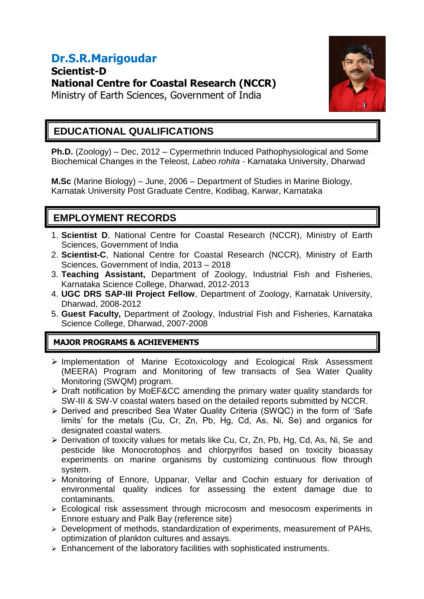# **Dr.S.R.Marigoudar Scientist-D National Centre for Coastal Research (NCCR)**



# Ministry of Earth Sciences, Government of India

### **EDUCATIONAL QUALIFICATIONS**

**Ph.D.** (Zoology) – Dec, 2012 – Cypermethrin Induced Pathophysiological and Some Biochemical Changes in the Teleost, *Labeo rohita* - Karnataka University, Dharwad

**M.Sc** (Marine Biology) – June, 2006 – Department of Studies in Marine Biology, Karnatak University Post Graduate Centre, Kodibag, Karwar, Karnataka

## **EMPLOYMENT RECORDS**

- 1. **Scientist D**, National Centre for Coastal Research (NCCR), Ministry of Earth Sciences, Government of India
- 2. **Scientist-C**, National Centre for Coastal Research (NCCR), Ministry of Earth Sciences, Government of India, 2013 – 2018
- 3. **Teaching Assistant,** Department of Zoology, Industrial Fish and Fisheries, Karnataka Science College, Dharwad, 2012-2013
- 4. **UGC DRS SAP-III Project Fellow**, Department of Zoology, Karnatak University, Dharwad, 2008-2012
- 5. **Guest Faculty,** Department of Zoology, Industrial Fish and Fisheries, Karnataka Science College, Dharwad, 2007-2008

#### **MAJOR PROGRAMS & ACHIEVEMENTS**

- $\triangleright$  Implementation of Marine Ecotoxicology and Ecological Risk Assessment (MEERA) Program and Monitoring of few transacts of Sea Water Quality Monitoring (SWQM) program.
- Draft notification by MoEF&CC amending the primary water quality standards for SW-III & SW-V coastal waters based on the detailed reports submitted by NCCR.
- Derived and prescribed Sea Water Quality Criteria (SWQC) in the form of 'Safe limits' for the metals (Cu, Cr, Zn, Pb, Hg, Cd, As, Ni, Se) and organics for designated coastal waters.
- ▶ Derivation of toxicity values for metals like Cu, Cr, Zn, Pb, Hg, Cd, As, Ni, Se and pesticide like Monocrotophos and chlorpyrifos based on toxicity bioassay experiments on marine organisms by customizing continuous flow through system.
- Monitoring of Ennore, Uppanar, Vellar and Cochin estuary for derivation of environmental quality indices for assessing the extent damage due to contaminants.
- Ecological risk assessment through microcosm and mesocosm experiments in Ennore estuary and Palk Bay (reference site)
- Development of methods, standardization of experiments, measurement of PAHs, optimization of plankton cultures and assays.
- $\triangleright$  Enhancement of the laboratory facilities with sophisticated instruments.